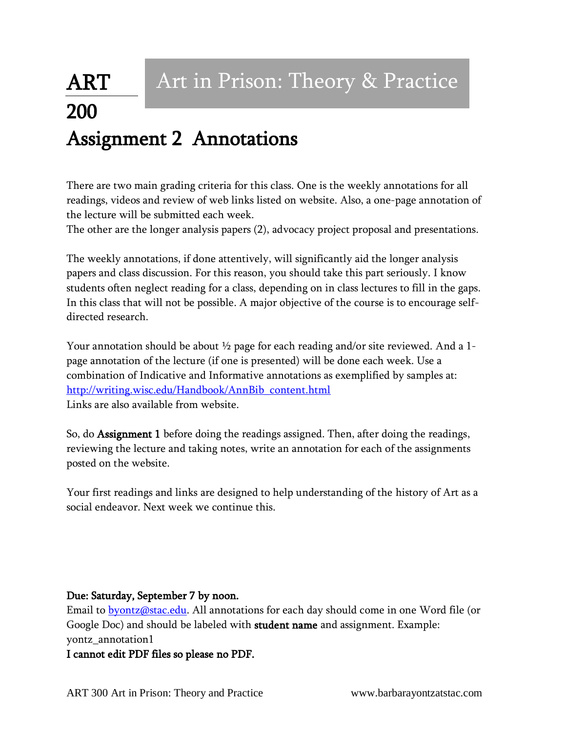## ART 200 Assignment 2 Annotations Art in Prison: Theory & Practice

There are two main grading criteria for this class. One is the weekly annotations for all readings, videos and review of web links listed on website. Also, a one-page annotation of the lecture will be submitted each week.

The other are the longer analysis papers (2), advocacy project proposal and presentations.

The weekly annotations, if done attentively, will significantly aid the longer analysis papers and class discussion. For this reason, you should take this part seriously. I know students often neglect reading for a class, depending on in class lectures to fill in the gaps. In this class that will not be possible. A major objective of the course is to encourage selfdirected research.

Your annotation should be about  $\frac{1}{2}$  page for each reading and/or site reviewed. And a 1page annotation of the lecture (if one is presented) will be done each week. Use a combination of Indicative and Informative annotations as exemplified by samples at: [http://writing.wisc.edu/Handbook/AnnBib\\_content.html](http://writing.wisc.edu/Handbook/AnnBib_content.html) Links are also available from website.

So, do Assignment 1 before doing the readings assigned. Then, after doing the readings, reviewing the lecture and taking notes, write an annotation for each of the assignments posted on the website.

Your first readings and links are designed to help understanding of the history of Art as a social endeavor. Next week we continue this.

## Due: Saturday, September 7 by noon.

Email to **byontz@stac.edu**. All annotations for each day should come in one Word file (or Google Doc) and should be labeled with student name and assignment. Example: yontz\_annotation1

I cannot edit PDF files so please no PDF.